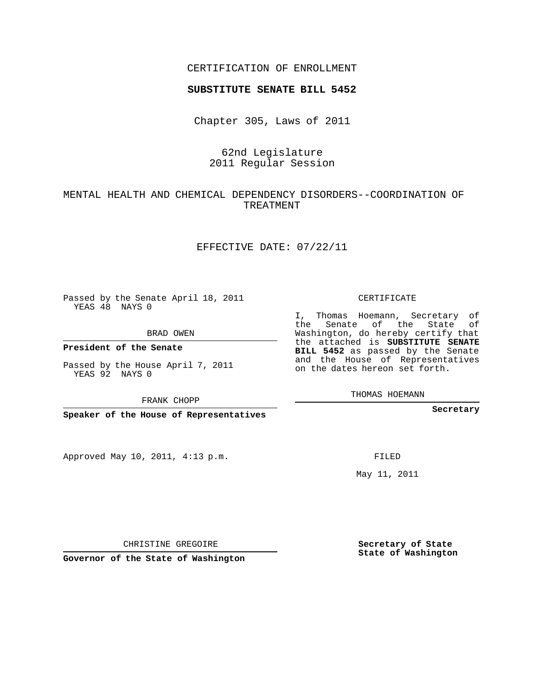### CERTIFICATION OF ENROLLMENT

#### **SUBSTITUTE SENATE BILL 5452**

Chapter 305, Laws of 2011

# 62nd Legislature 2011 Regular Session

# MENTAL HEALTH AND CHEMICAL DEPENDENCY DISORDERS--COORDINATION OF TREATMENT

#### EFFECTIVE DATE: 07/22/11

Passed by the Senate April 18, 2011 YEAS 48 NAYS 0

BRAD OWEN

**President of the Senate**

Passed by the House April 7, 2011 YEAS 92 NAYS 0

FRANK CHOPP

**Speaker of the House of Representatives**

Approved May 10, 2011, 4:13 p.m.

#### CERTIFICATE

I, Thomas Hoemann, Secretary of the Senate of the State of Washington, do hereby certify that the attached is **SUBSTITUTE SENATE BILL 5452** as passed by the Senate and the House of Representatives on the dates hereon set forth.

THOMAS HOEMANN

**Secretary**

FILED

May 11, 2011

**Secretary of State State of Washington**

CHRISTINE GREGOIRE

**Governor of the State of Washington**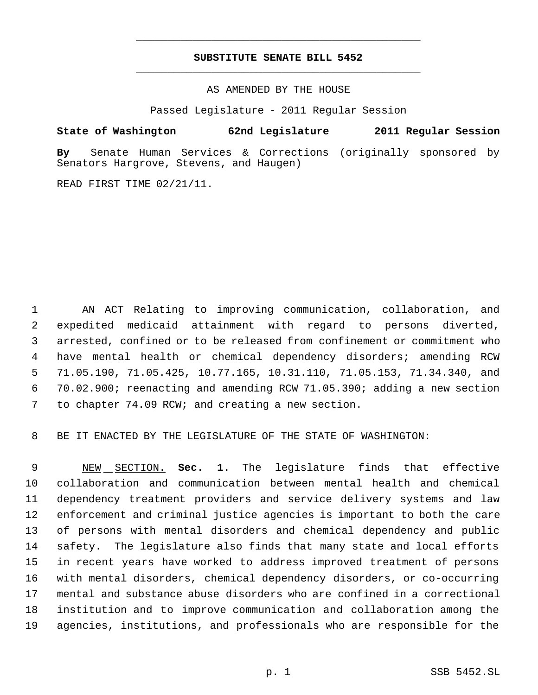# **SUBSTITUTE SENATE BILL 5452** \_\_\_\_\_\_\_\_\_\_\_\_\_\_\_\_\_\_\_\_\_\_\_\_\_\_\_\_\_\_\_\_\_\_\_\_\_\_\_\_\_\_\_\_\_

\_\_\_\_\_\_\_\_\_\_\_\_\_\_\_\_\_\_\_\_\_\_\_\_\_\_\_\_\_\_\_\_\_\_\_\_\_\_\_\_\_\_\_\_\_

AS AMENDED BY THE HOUSE

Passed Legislature - 2011 Regular Session

## **State of Washington 62nd Legislature 2011 Regular Session**

**By** Senate Human Services & Corrections (originally sponsored by Senators Hargrove, Stevens, and Haugen)

READ FIRST TIME 02/21/11.

 AN ACT Relating to improving communication, collaboration, and expedited medicaid attainment with regard to persons diverted, arrested, confined or to be released from confinement or commitment who have mental health or chemical dependency disorders; amending RCW 71.05.190, 71.05.425, 10.77.165, 10.31.110, 71.05.153, 71.34.340, and 70.02.900; reenacting and amending RCW 71.05.390; adding a new section to chapter 74.09 RCW; and creating a new section.

BE IT ENACTED BY THE LEGISLATURE OF THE STATE OF WASHINGTON:

 NEW SECTION. **Sec. 1.** The legislature finds that effective collaboration and communication between mental health and chemical dependency treatment providers and service delivery systems and law enforcement and criminal justice agencies is important to both the care of persons with mental disorders and chemical dependency and public safety. The legislature also finds that many state and local efforts in recent years have worked to address improved treatment of persons with mental disorders, chemical dependency disorders, or co-occurring mental and substance abuse disorders who are confined in a correctional institution and to improve communication and collaboration among the agencies, institutions, and professionals who are responsible for the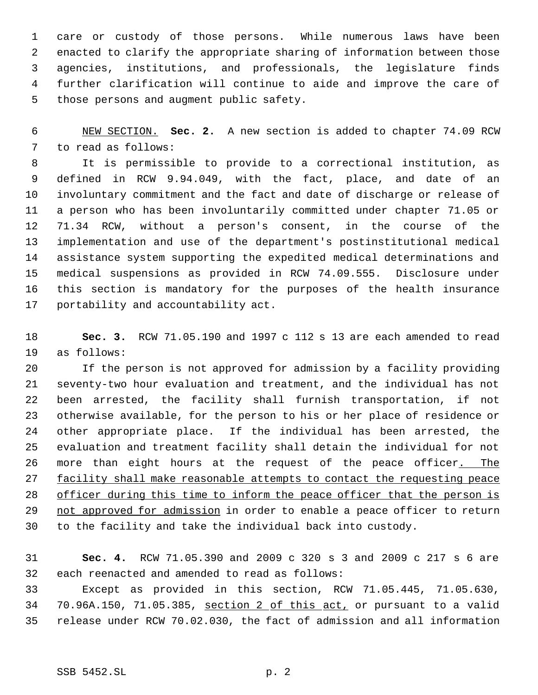care or custody of those persons. While numerous laws have been enacted to clarify the appropriate sharing of information between those agencies, institutions, and professionals, the legislature finds further clarification will continue to aide and improve the care of those persons and augment public safety.

 NEW SECTION. **Sec. 2.** A new section is added to chapter 74.09 RCW to read as follows:

 It is permissible to provide to a correctional institution, as defined in RCW 9.94.049, with the fact, place, and date of an involuntary commitment and the fact and date of discharge or release of a person who has been involuntarily committed under chapter 71.05 or 71.34 RCW, without a person's consent, in the course of the implementation and use of the department's postinstitutional medical assistance system supporting the expedited medical determinations and medical suspensions as provided in RCW 74.09.555. Disclosure under this section is mandatory for the purposes of the health insurance portability and accountability act.

 **Sec. 3.** RCW 71.05.190 and 1997 c 112 s 13 are each amended to read as follows:

 If the person is not approved for admission by a facility providing seventy-two hour evaluation and treatment, and the individual has not been arrested, the facility shall furnish transportation, if not otherwise available, for the person to his or her place of residence or other appropriate place. If the individual has been arrested, the evaluation and treatment facility shall detain the individual for not 26 more than eight hours at the request of the peace officer. The 27 facility shall make reasonable attempts to contact the requesting peace 28 officer during this time to inform the peace officer that the person is 29 not approved for admission in order to enable a peace officer to return to the facility and take the individual back into custody.

 **Sec. 4.** RCW 71.05.390 and 2009 c 320 s 3 and 2009 c 217 s 6 are each reenacted and amended to read as follows:

 Except as provided in this section, RCW 71.05.445, 71.05.630, 70.96A.150, 71.05.385, section 2 of this act, or pursuant to a valid release under RCW 70.02.030, the fact of admission and all information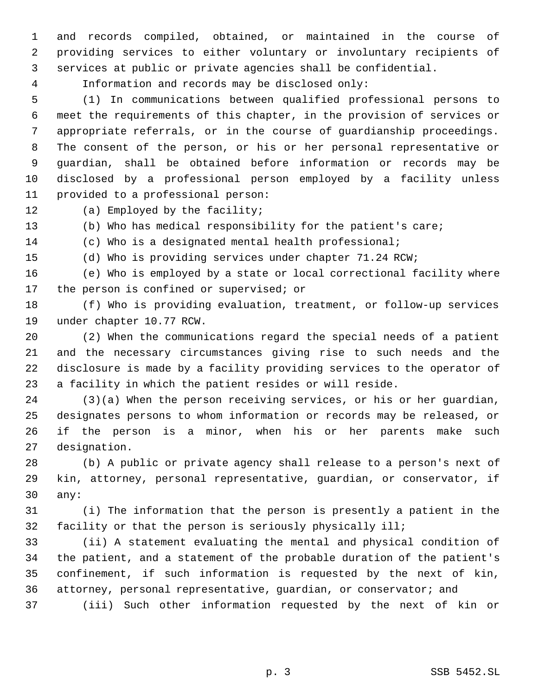and records compiled, obtained, or maintained in the course of providing services to either voluntary or involuntary recipients of services at public or private agencies shall be confidential.

Information and records may be disclosed only:

 (1) In communications between qualified professional persons to meet the requirements of this chapter, in the provision of services or appropriate referrals, or in the course of guardianship proceedings. The consent of the person, or his or her personal representative or guardian, shall be obtained before information or records may be disclosed by a professional person employed by a facility unless provided to a professional person:

(a) Employed by the facility;

(b) Who has medical responsibility for the patient's care;

(c) Who is a designated mental health professional;

(d) Who is providing services under chapter 71.24 RCW;

 (e) Who is employed by a state or local correctional facility where 17 the person is confined or supervised; or

 (f) Who is providing evaluation, treatment, or follow-up services under chapter 10.77 RCW.

 (2) When the communications regard the special needs of a patient and the necessary circumstances giving rise to such needs and the disclosure is made by a facility providing services to the operator of a facility in which the patient resides or will reside.

 (3)(a) When the person receiving services, or his or her guardian, designates persons to whom information or records may be released, or if the person is a minor, when his or her parents make such designation.

 (b) A public or private agency shall release to a person's next of kin, attorney, personal representative, guardian, or conservator, if any:

 (i) The information that the person is presently a patient in the facility or that the person is seriously physically ill;

 (ii) A statement evaluating the mental and physical condition of the patient, and a statement of the probable duration of the patient's confinement, if such information is requested by the next of kin, attorney, personal representative, guardian, or conservator; and

(iii) Such other information requested by the next of kin or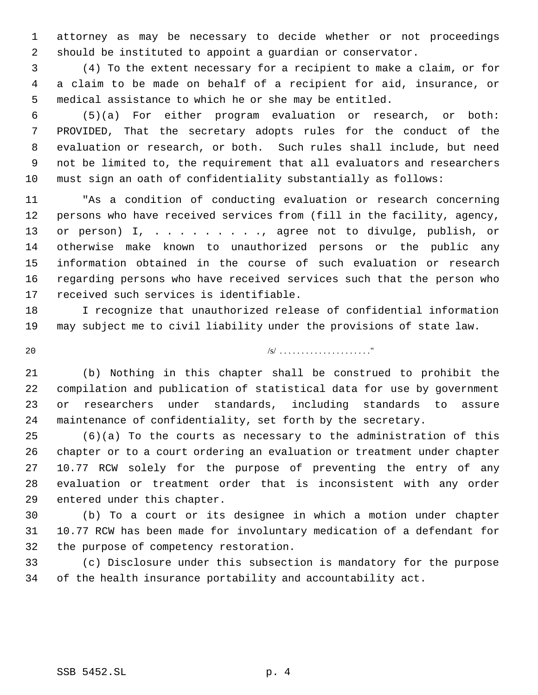attorney as may be necessary to decide whether or not proceedings should be instituted to appoint a guardian or conservator.

 (4) To the extent necessary for a recipient to make a claim, or for a claim to be made on behalf of a recipient for aid, insurance, or medical assistance to which he or she may be entitled.

 (5)(a) For either program evaluation or research, or both: PROVIDED, That the secretary adopts rules for the conduct of the evaluation or research, or both. Such rules shall include, but need not be limited to, the requirement that all evaluators and researchers must sign an oath of confidentiality substantially as follows:

 "As a condition of conducting evaluation or research concerning persons who have received services from (fill in the facility, agency, 13 or person) I, . . . . . . . . , agree not to divulge, publish, or otherwise make known to unauthorized persons or the public any information obtained in the course of such evaluation or research regarding persons who have received services such that the person who received such services is identifiable.

 I recognize that unauthorized release of confidential information may subject me to civil liability under the provisions of state law.

/s/ . . . . . . . . . . . . . . . . . . . . ."

 (b) Nothing in this chapter shall be construed to prohibit the compilation and publication of statistical data for use by government or researchers under standards, including standards to assure maintenance of confidentiality, set forth by the secretary.

 (6)(a) To the courts as necessary to the administration of this chapter or to a court ordering an evaluation or treatment under chapter 10.77 RCW solely for the purpose of preventing the entry of any evaluation or treatment order that is inconsistent with any order entered under this chapter.

 (b) To a court or its designee in which a motion under chapter 10.77 RCW has been made for involuntary medication of a defendant for the purpose of competency restoration.

 (c) Disclosure under this subsection is mandatory for the purpose of the health insurance portability and accountability act.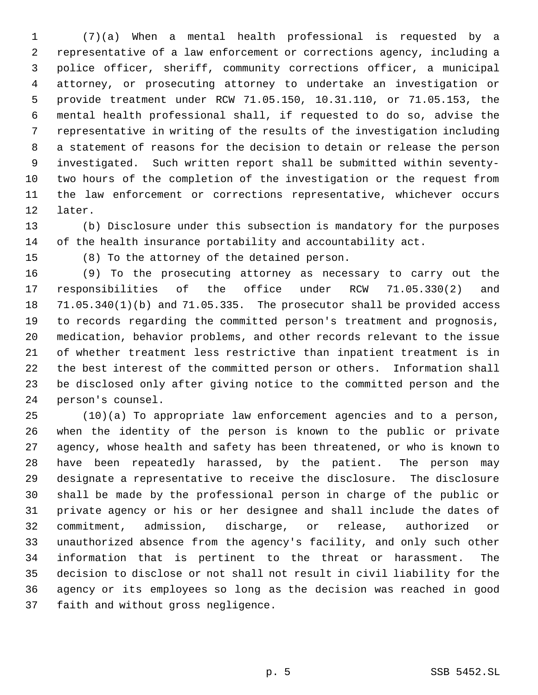(7)(a) When a mental health professional is requested by a representative of a law enforcement or corrections agency, including a police officer, sheriff, community corrections officer, a municipal attorney, or prosecuting attorney to undertake an investigation or provide treatment under RCW 71.05.150, 10.31.110, or 71.05.153, the mental health professional shall, if requested to do so, advise the representative in writing of the results of the investigation including a statement of reasons for the decision to detain or release the person investigated. Such written report shall be submitted within seventy- two hours of the completion of the investigation or the request from the law enforcement or corrections representative, whichever occurs later.

 (b) Disclosure under this subsection is mandatory for the purposes of the health insurance portability and accountability act.

(8) To the attorney of the detained person.

 (9) To the prosecuting attorney as necessary to carry out the responsibilities of the office under RCW 71.05.330(2) and 71.05.340(1)(b) and 71.05.335. The prosecutor shall be provided access to records regarding the committed person's treatment and prognosis, medication, behavior problems, and other records relevant to the issue of whether treatment less restrictive than inpatient treatment is in the best interest of the committed person or others. Information shall be disclosed only after giving notice to the committed person and the person's counsel.

 (10)(a) To appropriate law enforcement agencies and to a person, when the identity of the person is known to the public or private agency, whose health and safety has been threatened, or who is known to have been repeatedly harassed, by the patient. The person may designate a representative to receive the disclosure. The disclosure shall be made by the professional person in charge of the public or private agency or his or her designee and shall include the dates of commitment, admission, discharge, or release, authorized or unauthorized absence from the agency's facility, and only such other information that is pertinent to the threat or harassment. The decision to disclose or not shall not result in civil liability for the agency or its employees so long as the decision was reached in good faith and without gross negligence.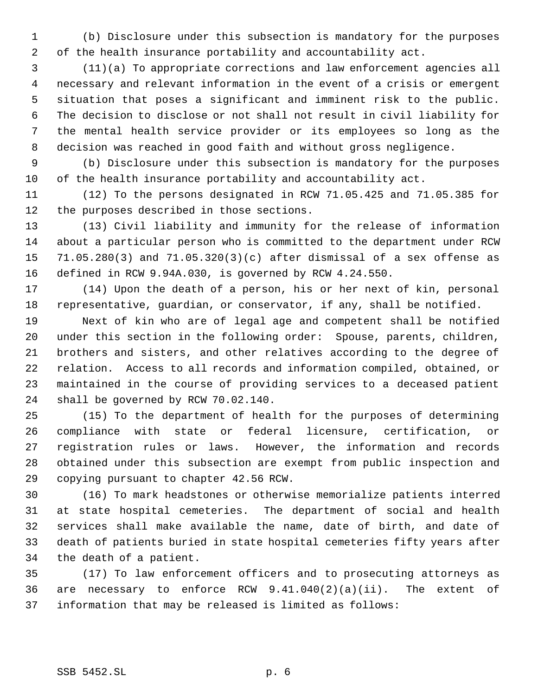(b) Disclosure under this subsection is mandatory for the purposes of the health insurance portability and accountability act.

 (11)(a) To appropriate corrections and law enforcement agencies all necessary and relevant information in the event of a crisis or emergent situation that poses a significant and imminent risk to the public. The decision to disclose or not shall not result in civil liability for the mental health service provider or its employees so long as the decision was reached in good faith and without gross negligence.

 (b) Disclosure under this subsection is mandatory for the purposes of the health insurance portability and accountability act.

 (12) To the persons designated in RCW 71.05.425 and 71.05.385 for the purposes described in those sections.

 (13) Civil liability and immunity for the release of information about a particular person who is committed to the department under RCW 71.05.280(3) and 71.05.320(3)(c) after dismissal of a sex offense as defined in RCW 9.94A.030, is governed by RCW 4.24.550.

 (14) Upon the death of a person, his or her next of kin, personal representative, guardian, or conservator, if any, shall be notified.

 Next of kin who are of legal age and competent shall be notified under this section in the following order: Spouse, parents, children, brothers and sisters, and other relatives according to the degree of relation. Access to all records and information compiled, obtained, or maintained in the course of providing services to a deceased patient shall be governed by RCW 70.02.140.

 (15) To the department of health for the purposes of determining compliance with state or federal licensure, certification, or registration rules or laws. However, the information and records obtained under this subsection are exempt from public inspection and copying pursuant to chapter 42.56 RCW.

 (16) To mark headstones or otherwise memorialize patients interred at state hospital cemeteries. The department of social and health services shall make available the name, date of birth, and date of death of patients buried in state hospital cemeteries fifty years after the death of a patient.

 (17) To law enforcement officers and to prosecuting attorneys as are necessary to enforce RCW 9.41.040(2)(a)(ii). The extent of information that may be released is limited as follows: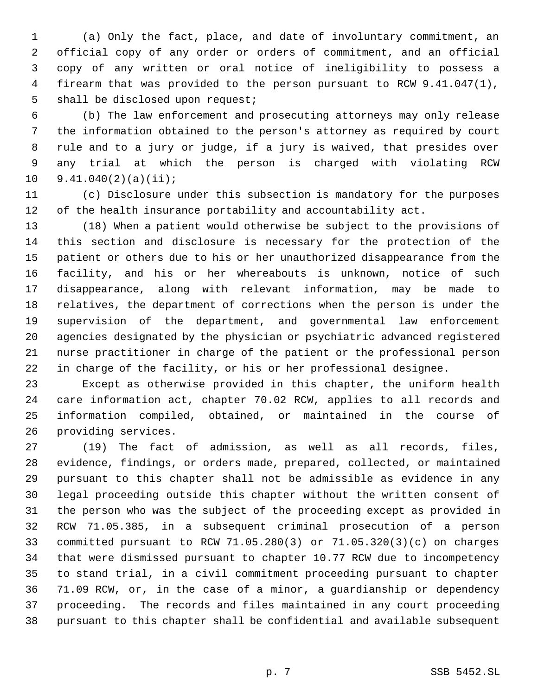(a) Only the fact, place, and date of involuntary commitment, an official copy of any order or orders of commitment, and an official copy of any written or oral notice of ineligibility to possess a firearm that was provided to the person pursuant to RCW 9.41.047(1), shall be disclosed upon request;

 (b) The law enforcement and prosecuting attorneys may only release the information obtained to the person's attorney as required by court rule and to a jury or judge, if a jury is waived, that presides over any trial at which the person is charged with violating RCW 9.41.040(2)(a)(ii);

 (c) Disclosure under this subsection is mandatory for the purposes of the health insurance portability and accountability act.

 (18) When a patient would otherwise be subject to the provisions of this section and disclosure is necessary for the protection of the patient or others due to his or her unauthorized disappearance from the facility, and his or her whereabouts is unknown, notice of such disappearance, along with relevant information, may be made to relatives, the department of corrections when the person is under the supervision of the department, and governmental law enforcement agencies designated by the physician or psychiatric advanced registered nurse practitioner in charge of the patient or the professional person in charge of the facility, or his or her professional designee.

 Except as otherwise provided in this chapter, the uniform health care information act, chapter 70.02 RCW, applies to all records and information compiled, obtained, or maintained in the course of providing services.

 (19) The fact of admission, as well as all records, files, evidence, findings, or orders made, prepared, collected, or maintained pursuant to this chapter shall not be admissible as evidence in any legal proceeding outside this chapter without the written consent of the person who was the subject of the proceeding except as provided in RCW 71.05.385, in a subsequent criminal prosecution of a person committed pursuant to RCW 71.05.280(3) or 71.05.320(3)(c) on charges that were dismissed pursuant to chapter 10.77 RCW due to incompetency to stand trial, in a civil commitment proceeding pursuant to chapter 71.09 RCW, or, in the case of a minor, a guardianship or dependency proceeding. The records and files maintained in any court proceeding pursuant to this chapter shall be confidential and available subsequent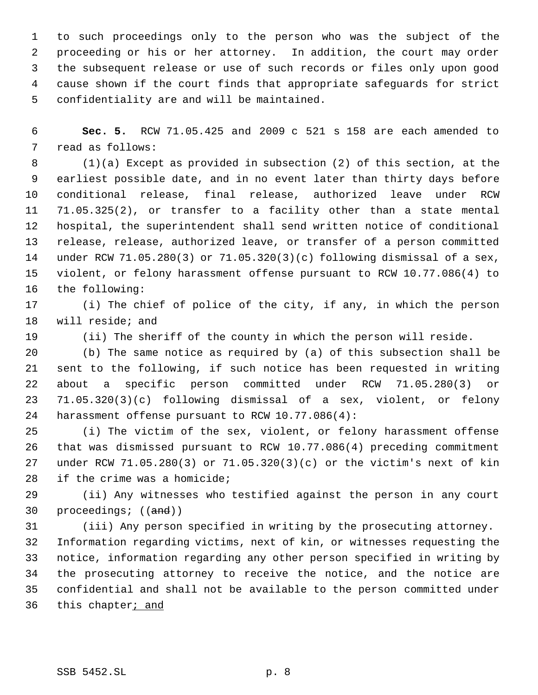to such proceedings only to the person who was the subject of the proceeding or his or her attorney. In addition, the court may order the subsequent release or use of such records or files only upon good cause shown if the court finds that appropriate safeguards for strict confidentiality are and will be maintained.

 **Sec. 5.** RCW 71.05.425 and 2009 c 521 s 158 are each amended to read as follows:

 (1)(a) Except as provided in subsection (2) of this section, at the earliest possible date, and in no event later than thirty days before conditional release, final release, authorized leave under RCW 71.05.325(2), or transfer to a facility other than a state mental hospital, the superintendent shall send written notice of conditional release, release, authorized leave, or transfer of a person committed under RCW 71.05.280(3) or 71.05.320(3)(c) following dismissal of a sex, violent, or felony harassment offense pursuant to RCW 10.77.086(4) to the following:

 (i) The chief of police of the city, if any, in which the person will reside; and

(ii) The sheriff of the county in which the person will reside.

 (b) The same notice as required by (a) of this subsection shall be sent to the following, if such notice has been requested in writing about a specific person committed under RCW 71.05.280(3) or 71.05.320(3)(c) following dismissal of a sex, violent, or felony harassment offense pursuant to RCW 10.77.086(4):

 (i) The victim of the sex, violent, or felony harassment offense that was dismissed pursuant to RCW 10.77.086(4) preceding commitment under RCW 71.05.280(3) or 71.05.320(3)(c) or the victim's next of kin if the crime was a homicide;

 (ii) Any witnesses who testified against the person in any court 30 proceedings; ((and))

 (iii) Any person specified in writing by the prosecuting attorney. Information regarding victims, next of kin, or witnesses requesting the notice, information regarding any other person specified in writing by the prosecuting attorney to receive the notice, and the notice are confidential and shall not be available to the person committed under 36 this chapter<sub>j</sub> and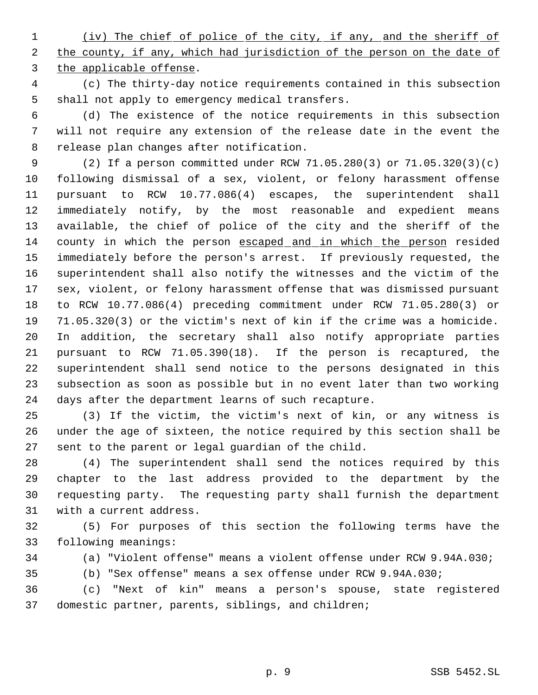(iv) The chief of police of the city, if any, and the sheriff of 2 the county, if any, which had jurisdiction of the person on the date of the applicable offense.

 (c) The thirty-day notice requirements contained in this subsection shall not apply to emergency medical transfers.

 (d) The existence of the notice requirements in this subsection will not require any extension of the release date in the event the release plan changes after notification.

 (2) If a person committed under RCW 71.05.280(3) or 71.05.320(3)(c) following dismissal of a sex, violent, or felony harassment offense pursuant to RCW 10.77.086(4) escapes, the superintendent shall immediately notify, by the most reasonable and expedient means available, the chief of police of the city and the sheriff of the county in which the person escaped and in which the person resided immediately before the person's arrest. If previously requested, the superintendent shall also notify the witnesses and the victim of the sex, violent, or felony harassment offense that was dismissed pursuant to RCW 10.77.086(4) preceding commitment under RCW 71.05.280(3) or 71.05.320(3) or the victim's next of kin if the crime was a homicide. In addition, the secretary shall also notify appropriate parties pursuant to RCW 71.05.390(18). If the person is recaptured, the superintendent shall send notice to the persons designated in this subsection as soon as possible but in no event later than two working days after the department learns of such recapture.

 (3) If the victim, the victim's next of kin, or any witness is under the age of sixteen, the notice required by this section shall be sent to the parent or legal guardian of the child.

 (4) The superintendent shall send the notices required by this chapter to the last address provided to the department by the requesting party. The requesting party shall furnish the department with a current address.

 (5) For purposes of this section the following terms have the following meanings:

(a) "Violent offense" means a violent offense under RCW 9.94A.030;

(b) "Sex offense" means a sex offense under RCW 9.94A.030;

 (c) "Next of kin" means a person's spouse, state registered domestic partner, parents, siblings, and children;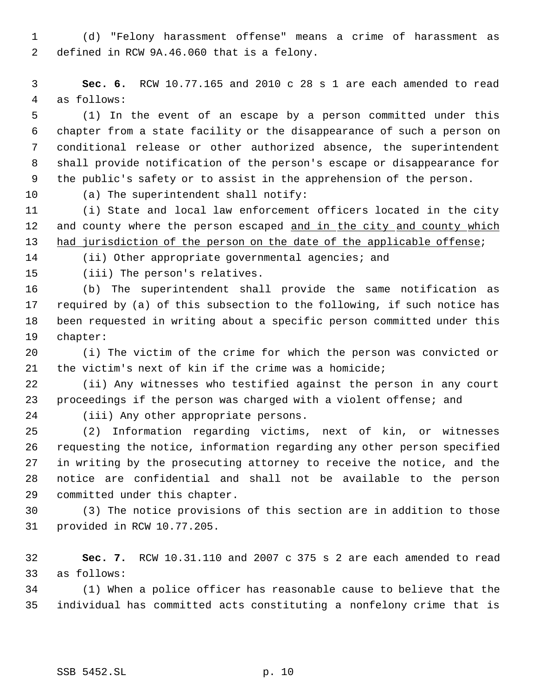(d) "Felony harassment offense" means a crime of harassment as defined in RCW 9A.46.060 that is a felony.

 **Sec. 6.** RCW 10.77.165 and 2010 c 28 s 1 are each amended to read as follows:

 (1) In the event of an escape by a person committed under this chapter from a state facility or the disappearance of such a person on conditional release or other authorized absence, the superintendent shall provide notification of the person's escape or disappearance for the public's safety or to assist in the apprehension of the person.

(a) The superintendent shall notify:

 (i) State and local law enforcement officers located in the city 12 and county where the person escaped and in the city and county which had jurisdiction of the person on the date of the applicable offense;

(ii) Other appropriate governmental agencies; and

(iii) The person's relatives.

 (b) The superintendent shall provide the same notification as required by (a) of this subsection to the following, if such notice has been requested in writing about a specific person committed under this chapter:

 (i) The victim of the crime for which the person was convicted or the victim's next of kin if the crime was a homicide;

 (ii) Any witnesses who testified against the person in any court proceedings if the person was charged with a violent offense; and

(iii) Any other appropriate persons.

 (2) Information regarding victims, next of kin, or witnesses requesting the notice, information regarding any other person specified in writing by the prosecuting attorney to receive the notice, and the notice are confidential and shall not be available to the person committed under this chapter.

 (3) The notice provisions of this section are in addition to those provided in RCW 10.77.205.

 **Sec. 7.** RCW 10.31.110 and 2007 c 375 s 2 are each amended to read as follows:

 (1) When a police officer has reasonable cause to believe that the individual has committed acts constituting a nonfelony crime that is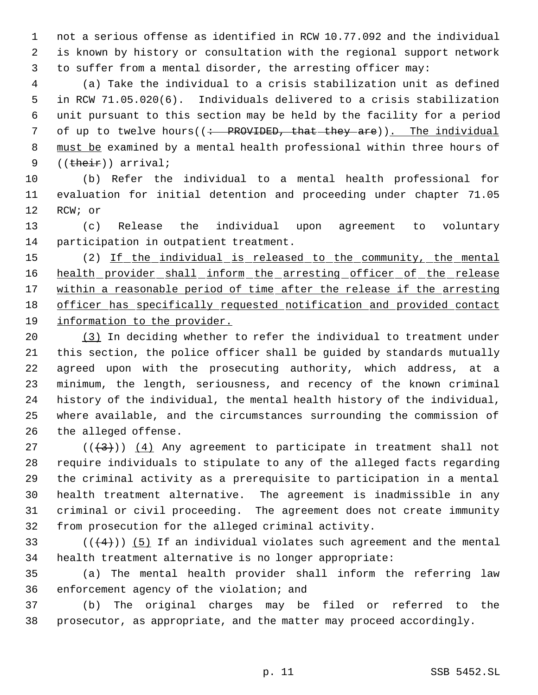not a serious offense as identified in RCW 10.77.092 and the individual is known by history or consultation with the regional support network to suffer from a mental disorder, the arresting officer may:

 (a) Take the individual to a crisis stabilization unit as defined in RCW 71.05.020(6). Individuals delivered to a crisis stabilization unit pursuant to this section may be held by the facility for a period 7 of up to twelve hours((: PROVIDED, that they are)). The individual 8 must be examined by a mental health professional within three hours of 9 ((their)) arrival;

 (b) Refer the individual to a mental health professional for evaluation for initial detention and proceeding under chapter 71.05 RCW; or

 (c) Release the individual upon agreement to voluntary participation in outpatient treatment.

15 (2) If the individual is released to the community, the mental 16 health provider shall inform the arresting officer of the release 17 within a reasonable period of time after the release if the arresting officer has specifically requested notification and provided contact information to the provider.

 (3) In deciding whether to refer the individual to treatment under this section, the police officer shall be guided by standards mutually agreed upon with the prosecuting authority, which address, at a minimum, the length, seriousness, and recency of the known criminal history of the individual, the mental health history of the individual, where available, and the circumstances surrounding the commission of the alleged offense.

27 ( $(\langle 3 \rangle)$ ) (4) Any agreement to participate in treatment shall not require individuals to stipulate to any of the alleged facts regarding the criminal activity as a prerequisite to participation in a mental health treatment alternative. The agreement is inadmissible in any criminal or civil proceeding. The agreement does not create immunity from prosecution for the alleged criminal activity.

33  $((4+))$  (5) If an individual violates such agreement and the mental health treatment alternative is no longer appropriate:

 (a) The mental health provider shall inform the referring law enforcement agency of the violation; and

 (b) The original charges may be filed or referred to the prosecutor, as appropriate, and the matter may proceed accordingly.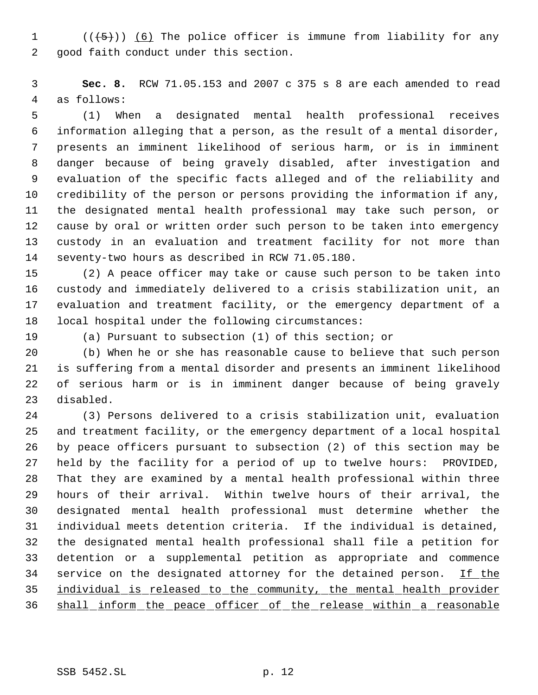$((\{5\})$   $(6)$  The police officer is immune from liability for any good faith conduct under this section.

 **Sec. 8.** RCW 71.05.153 and 2007 c 375 s 8 are each amended to read as follows:

 (1) When a designated mental health professional receives information alleging that a person, as the result of a mental disorder, presents an imminent likelihood of serious harm, or is in imminent danger because of being gravely disabled, after investigation and evaluation of the specific facts alleged and of the reliability and credibility of the person or persons providing the information if any, the designated mental health professional may take such person, or cause by oral or written order such person to be taken into emergency custody in an evaluation and treatment facility for not more than seventy-two hours as described in RCW 71.05.180.

 (2) A peace officer may take or cause such person to be taken into custody and immediately delivered to a crisis stabilization unit, an evaluation and treatment facility, or the emergency department of a local hospital under the following circumstances:

(a) Pursuant to subsection (1) of this section; or

 (b) When he or she has reasonable cause to believe that such person is suffering from a mental disorder and presents an imminent likelihood of serious harm or is in imminent danger because of being gravely disabled.

 (3) Persons delivered to a crisis stabilization unit, evaluation and treatment facility, or the emergency department of a local hospital by peace officers pursuant to subsection (2) of this section may be held by the facility for a period of up to twelve hours: PROVIDED, That they are examined by a mental health professional within three hours of their arrival. Within twelve hours of their arrival, the designated mental health professional must determine whether the individual meets detention criteria. If the individual is detained, the designated mental health professional shall file a petition for detention or a supplemental petition as appropriate and commence 34 service on the designated attorney for the detained person. If the individual is released to the community, the mental health provider shall inform the peace officer of the release within a reasonable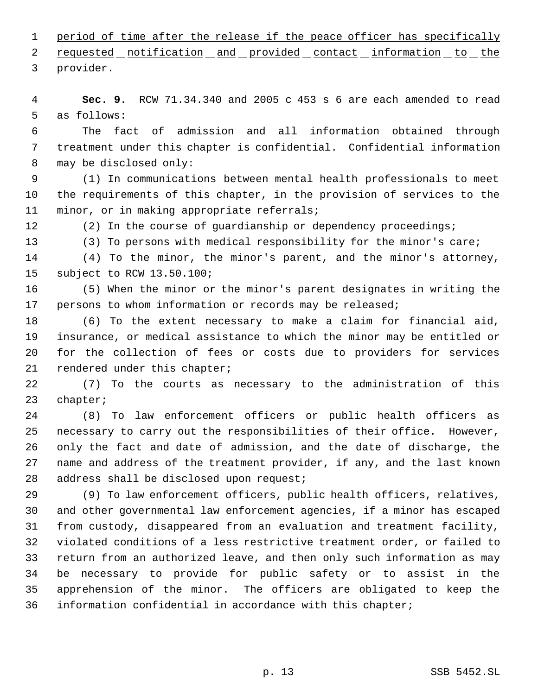1 period of time after the release if the peace officer has specifically

2 requested notification and provided contact information to the

provider.

 **Sec. 9.** RCW 71.34.340 and 2005 c 453 s 6 are each amended to read as follows:

 The fact of admission and all information obtained through treatment under this chapter is confidential. Confidential information may be disclosed only:

 (1) In communications between mental health professionals to meet the requirements of this chapter, in the provision of services to the minor, or in making appropriate referrals;

12 (2) In the course of guardianship or dependency proceedings;

(3) To persons with medical responsibility for the minor's care;

 (4) To the minor, the minor's parent, and the minor's attorney, subject to RCW 13.50.100;

 (5) When the minor or the minor's parent designates in writing the persons to whom information or records may be released;

 (6) To the extent necessary to make a claim for financial aid, insurance, or medical assistance to which the minor may be entitled or for the collection of fees or costs due to providers for services rendered under this chapter;

 (7) To the courts as necessary to the administration of this chapter;

 (8) To law enforcement officers or public health officers as necessary to carry out the responsibilities of their office. However, only the fact and date of admission, and the date of discharge, the name and address of the treatment provider, if any, and the last known 28 address shall be disclosed upon request;

 (9) To law enforcement officers, public health officers, relatives, and other governmental law enforcement agencies, if a minor has escaped from custody, disappeared from an evaluation and treatment facility, violated conditions of a less restrictive treatment order, or failed to return from an authorized leave, and then only such information as may be necessary to provide for public safety or to assist in the apprehension of the minor. The officers are obligated to keep the information confidential in accordance with this chapter;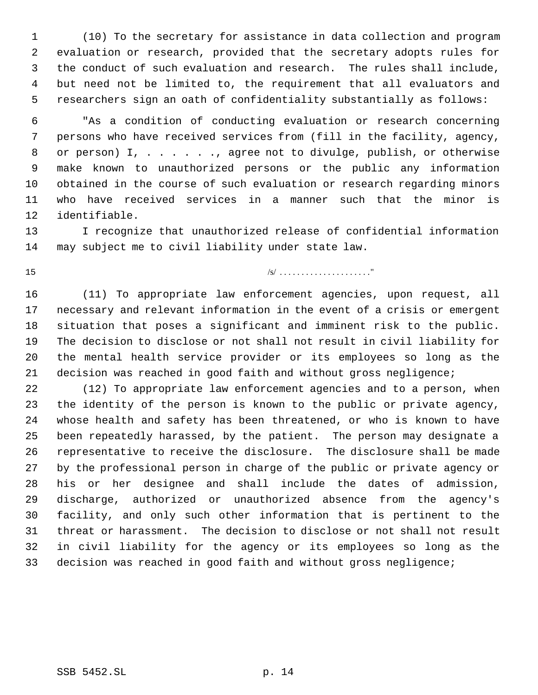(10) To the secretary for assistance in data collection and program evaluation or research, provided that the secretary adopts rules for the conduct of such evaluation and research. The rules shall include, but need not be limited to, the requirement that all evaluators and researchers sign an oath of confidentiality substantially as follows:

 "As a condition of conducting evaluation or research concerning persons who have received services from (fill in the facility, agency, or person) I, . . . . . ., agree not to divulge, publish, or otherwise make known to unauthorized persons or the public any information obtained in the course of such evaluation or research regarding minors who have received services in a manner such that the minor is identifiable.

 I recognize that unauthorized release of confidential information may subject me to civil liability under state law.

/s/ . . . . . . . . . . . . . . . . . . . . ."

 (11) To appropriate law enforcement agencies, upon request, all necessary and relevant information in the event of a crisis or emergent situation that poses a significant and imminent risk to the public. The decision to disclose or not shall not result in civil liability for the mental health service provider or its employees so long as the decision was reached in good faith and without gross negligence;

 (12) To appropriate law enforcement agencies and to a person, when the identity of the person is known to the public or private agency, whose health and safety has been threatened, or who is known to have been repeatedly harassed, by the patient. The person may designate a representative to receive the disclosure. The disclosure shall be made by the professional person in charge of the public or private agency or his or her designee and shall include the dates of admission, discharge, authorized or unauthorized absence from the agency's facility, and only such other information that is pertinent to the threat or harassment. The decision to disclose or not shall not result in civil liability for the agency or its employees so long as the decision was reached in good faith and without gross negligence;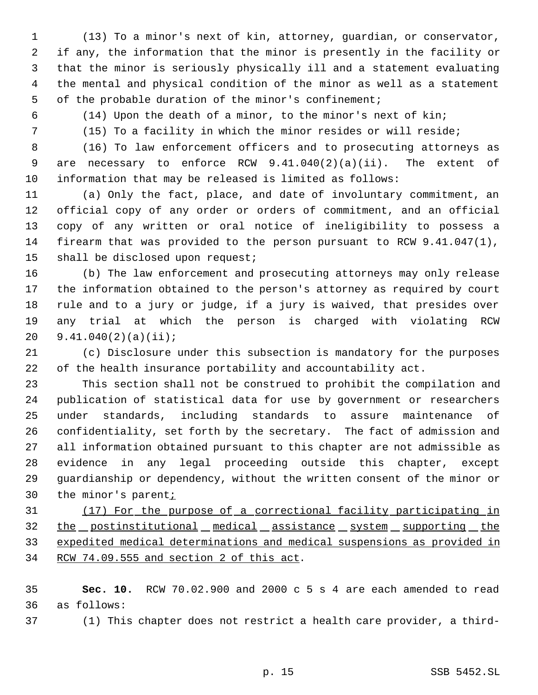- (13) To a minor's next of kin, attorney, guardian, or conservator, if any, the information that the minor is presently in the facility or that the minor is seriously physically ill and a statement evaluating the mental and physical condition of the minor as well as a statement of the probable duration of the minor's confinement;
- 

(14) Upon the death of a minor, to the minor's next of kin;

(15) To a facility in which the minor resides or will reside;

 (16) To law enforcement officers and to prosecuting attorneys as are necessary to enforce RCW 9.41.040(2)(a)(ii). The extent of information that may be released is limited as follows:

 (a) Only the fact, place, and date of involuntary commitment, an official copy of any order or orders of commitment, and an official copy of any written or oral notice of ineligibility to possess a firearm that was provided to the person pursuant to RCW 9.41.047(1), shall be disclosed upon request;

 (b) The law enforcement and prosecuting attorneys may only release the information obtained to the person's attorney as required by court rule and to a jury or judge, if a jury is waived, that presides over any trial at which the person is charged with violating RCW 9.41.040(2)(a)(ii);

 (c) Disclosure under this subsection is mandatory for the purposes of the health insurance portability and accountability act.

 This section shall not be construed to prohibit the compilation and publication of statistical data for use by government or researchers under standards, including standards to assure maintenance of confidentiality, set forth by the secretary. The fact of admission and all information obtained pursuant to this chapter are not admissible as evidence in any legal proceeding outside this chapter, except guardianship or dependency, without the written consent of the minor or 30 the minor's parent<sub>i</sub>

 (17) For the purpose of a correctional facility participating in 32 the postinstitutional medical assistance system supporting the expedited medical determinations and medical suspensions as provided in RCW 74.09.555 and section 2 of this act.

 **Sec. 10.** RCW 70.02.900 and 2000 c 5 s 4 are each amended to read as follows:

(1) This chapter does not restrict a health care provider, a third-